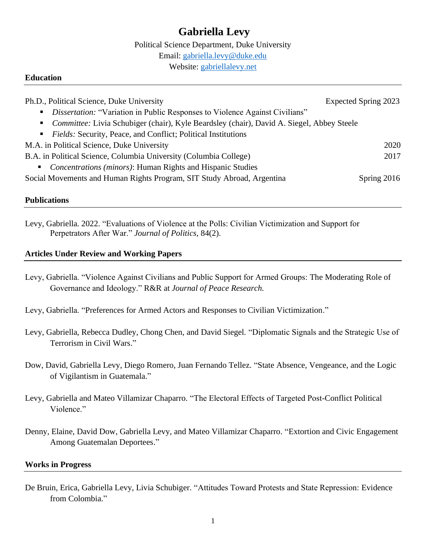# **Gabriella Levy**

Political Science Department, Duke University

Email: [gabriella.levy@duke.edu](mailto:gabriella.levy@duke.edu)

Website: [gabriellalevy.net](http://gabriellalevy.net/)

#### **Education**

| Ph.D., Political Science, Duke University                                                   | Expected Spring 2023 |
|---------------------------------------------------------------------------------------------|----------------------|
| <i>• Dissertation:</i> "Variation in Public Responses to Violence Against Civilians"        |                      |
| • Committee: Livia Schubiger (chair), Kyle Beardsley (chair), David A. Siegel, Abbey Steele |                      |
| Fields: Security, Peace, and Conflict; Political Institutions                               |                      |
| M.A. in Political Science, Duke University                                                  | 2020                 |
| B.A. in Political Science, Columbia University (Columbia College)                           | 2017                 |
| • <i>Concentrations (minors)</i> : Human Rights and Hispanic Studies                        |                      |
| Social Movements and Human Rights Program, SIT Study Abroad, Argentina                      | Spring $2016$        |
|                                                                                             |                      |

#### **Publications**

Levy, Gabriella. 2022. "Evaluations of Violence at the Polls: Civilian Victimization and Support for Perpetrators After War." *Journal of Politics,* 84(2).

## **Articles Under Review and Working Papers**

- Levy, Gabriella. "Violence Against Civilians and Public Support for Armed Groups: The Moderating Role of Governance and Ideology." R&R at *Journal of Peace Research.*
- Levy, Gabriella. "Preferences for Armed Actors and Responses to Civilian Victimization."
- Levy, Gabriella, Rebecca Dudley, Chong Chen, and David Siegel. "Diplomatic Signals and the Strategic Use of Terrorism in Civil Wars."
- Dow, David, Gabriella Levy, Diego Romero, Juan Fernando Tellez. "State Absence, Vengeance, and the Logic of Vigilantism in Guatemala."
- Levy, Gabriella and Mateo Villamizar Chaparro. "The Electoral Effects of Targeted Post-Conflict Political Violence."
- Denny, Elaine, David Dow, Gabriella Levy, and Mateo Villamizar Chaparro. "Extortion and Civic Engagement Among Guatemalan Deportees."

## **Works in Progress**

De Bruin, Erica, Gabriella Levy, Livia Schubiger. "Attitudes Toward Protests and State Repression: Evidence from Colombia."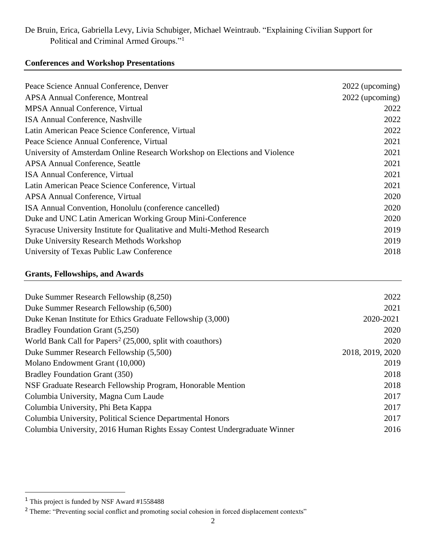## De Bruin, Erica, Gabriella Levy, Livia Schubiger, Michael Weintraub. "Explaining Civilian Support for Political and Criminal Armed Groups."<sup>1</sup>

## **Conferences and Workshop Presentations**

| Peace Science Annual Conference, Denver                                    | 2022 (upcoming) |
|----------------------------------------------------------------------------|-----------------|
| <b>APSA Annual Conference, Montreal</b>                                    | 2022 (upcoming) |
| <b>MPSA Annual Conference, Virtual</b>                                     | 2022            |
| ISA Annual Conference, Nashville                                           | 2022            |
| Latin American Peace Science Conference, Virtual                           | 2022            |
| Peace Science Annual Conference, Virtual                                   | 2021            |
| University of Amsterdam Online Research Workshop on Elections and Violence | 2021            |
| <b>APSA Annual Conference, Seattle</b>                                     | 2021            |
| ISA Annual Conference, Virtual                                             | 2021            |
| Latin American Peace Science Conference, Virtual                           | 2021            |
| <b>APSA Annual Conference, Virtual</b>                                     | 2020            |
| ISA Annual Convention, Honolulu (conference cancelled)                     | 2020            |
| Duke and UNC Latin American Working Group Mini-Conference                  | 2020            |
| Syracuse University Institute for Qualitative and Multi-Method Research    | 2019            |
| Duke University Research Methods Workshop                                  | 2019            |
| University of Texas Public Law Conference                                  | 2018            |
|                                                                            |                 |

## **Grants, Fellowships, and Awards**

| Duke Summer Research Fellowship (8,250)                                   | 2022             |
|---------------------------------------------------------------------------|------------------|
| Duke Summer Research Fellowship (6,500)                                   | 2021             |
| Duke Kenan Institute for Ethics Graduate Fellowship (3,000)               | 2020-2021        |
| Bradley Foundation Grant (5,250)                                          | 2020             |
| World Bank Call for Papers <sup>2</sup> (25,000, split with coauthors)    | 2020             |
| Duke Summer Research Fellowship (5,500)                                   | 2018, 2019, 2020 |
| Molano Endowment Grant (10,000)                                           | 2019             |
| <b>Bradley Foundation Grant (350)</b>                                     | 2018             |
| NSF Graduate Research Fellowship Program, Honorable Mention               | 2018             |
| Columbia University, Magna Cum Laude                                      | 2017             |
| Columbia University, Phi Beta Kappa                                       | 2017             |
| Columbia University, Political Science Departmental Honors                | 2017             |
| Columbia University, 2016 Human Rights Essay Contest Undergraduate Winner | 2016             |
|                                                                           |                  |

<sup>1</sup> This project is funded by NSF Award #1558488

<sup>&</sup>lt;sup>2</sup> Theme: "Preventing social conflict and promoting social cohesion in forced displacement contexts"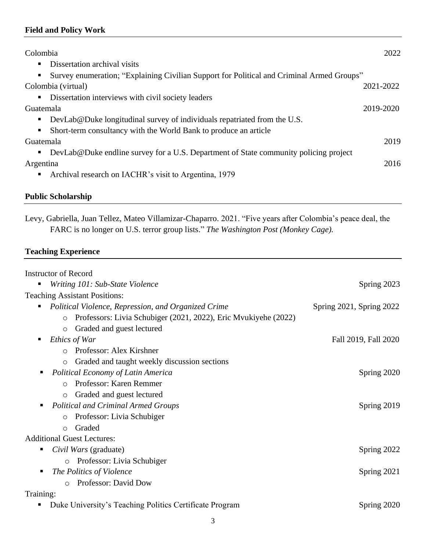## **Field and Policy Work**

| Colombia                                                                                  | 2022      |
|-------------------------------------------------------------------------------------------|-----------|
| Dissertation archival visits                                                              |           |
| Survey enumeration; "Explaining Civilian Support for Political and Criminal Armed Groups" |           |
| Colombia (virtual)                                                                        | 2021-2022 |
| Dissertation interviews with civil society leaders                                        |           |
| Guatemala                                                                                 | 2019-2020 |
| DevLab@Duke longitudinal survey of individuals repatriated from the U.S.                  |           |
| Short-term consultancy with the World Bank to produce an article                          |           |
| Guatemala                                                                                 | 2019      |
| DevLab@Duke endline survey for a U.S. Department of State community policing project      |           |
| Argentina                                                                                 | 2016      |
| Archival research on IACHR's visit to Argentina, 1979                                     |           |

## **Public Scholarship**

Levy, Gabriella, Juan Tellez, Mateo Villamizar-Chaparro. 2021. "Five years after Colombia's peace deal, the FARC is no longer on U.S. terror group lists." *The Washington Post (Monkey Cage).* 

## **Teaching Experience**

| <b>Instructor of Record</b>                                                |                          |
|----------------------------------------------------------------------------|--------------------------|
| Writing 101: Sub-State Violence                                            | Spring 2023              |
| <b>Teaching Assistant Positions:</b>                                       |                          |
| Political Violence, Repression, and Organized Crime                        | Spring 2021, Spring 2022 |
| Professors: Livia Schubiger (2021, 2022), Eric Myukiyehe (2022)<br>$\circ$ |                          |
| Graded and guest lectured<br>$\circ$                                       |                          |
| Ethics of War                                                              | Fall 2019, Fall 2020     |
| Professor: Alex Kirshner<br>$\Omega$                                       |                          |
| Graded and taught weekly discussion sections<br>$\circ$                    |                          |
| Political Economy of Latin America                                         | Spring 2020              |
| Professor: Karen Remmer<br>$\Omega$                                        |                          |
| Graded and guest lectured<br>$\circ$                                       |                          |
| <b>Political and Criminal Armed Groups</b>                                 | Spring 2019              |
| Professor: Livia Schubiger<br>$\circ$                                      |                          |
| Graded<br>$\circ$                                                          |                          |
| <b>Additional Guest Lectures:</b>                                          |                          |
| Civil Wars (graduate)                                                      | Spring 2022              |
| Professor: Livia Schubiger<br>$\circ$                                      |                          |
| The Politics of Violence                                                   | Spring 2021              |
| Professor: David Dow<br>$\bigcap$                                          |                          |
| Training:                                                                  |                          |
| Duke University's Teaching Politics Certificate Program                    | Spring 2020              |